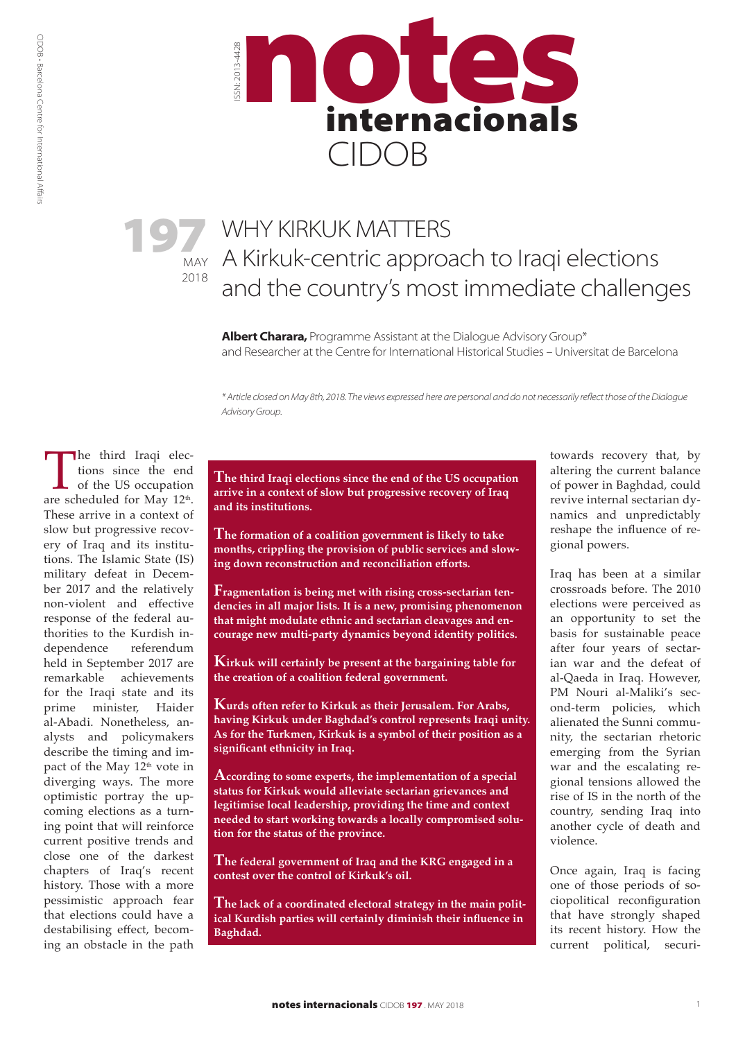

2018

# 197 WHY KIRKUK MATTERS<br>
MAY A Kirkuk-centric approach to Iraqi elections WHY KIRKUK MATTERS and the country's most immediate challenges

**Albert Charara,** Programme Assistant at the Dialogue Advisory Group\* and Researcher at the Centre for International Historical Studies – Universitat de Barcelona

*\* Article closed on May 8th, 2018. The views expressed here are personal and do not necessarily reflect those of the Dialogue Advisory Group.*

The third Iraqi elections since the end of the US occupation are scheduled for May  $12^{\text{th}}$ . tions since the end of the US occupation These arrive in a context of slow but progressive recovery of Iraq and its institutions. The Islamic State (IS) military defeat in December 2017 and the relatively non-violent and effective response of the federal authorities to the Kurdish independence referendum held in September 2017 are remarkable achievements for the Iraqi state and its prime minister, Haider al-Abadi. Nonetheless, analysts and policymakers describe the timing and impact of the May  $12<sup>th</sup>$  vote in diverging ways. The more optimistic portray the upcoming elections as a turning point that will reinforce current positive trends and close one of the darkest chapters of Iraq's recent history. Those with a more pessimistic approach fear that elections could have a destabilising effect, becoming an obstacle in the path

**The third Iraqi elections since the end of the US occupation arrive in a context of slow but progressive recovery of Iraq and its institutions.**

**The formation of a coalition government is likely to take months, crippling the provision of public services and slowing down reconstruction and reconciliation efforts.**

**Fragmentation is being met with rising cross-sectarian tendencies in all major lists. It is a new, promising phenomenon that might modulate ethnic and sectarian cleavages and encourage new multi-party dynamics beyond identity politics.**

**Kirkuk will certainly be present at the bargaining table for the creation of a coalition federal government.**

**Kurds often refer to Kirkuk as their Jerusalem. For Arabs, having Kirkuk under Baghdad's control represents Iraqi unity. As for the Turkmen, Kirkuk is a symbol of their position as a significant ethnicity in Iraq.**

**According to some experts, the implementation of a special status for Kirkuk would alleviate sectarian grievances and legitimise local leadership, providing the time and context needed to start working towards a locally compromised solution for the status of the province.**

**The federal government of Iraq and the KRG engaged in a contest over the control of Kirkuk's oil.**

**The lack of a coordinated electoral strategy in the main political Kurdish parties will certainly diminish their influence in Baghdad.**

towards recovery that, by altering the current balance of power in Baghdad, could revive internal sectarian dynamics and unpredictably reshape the influence of regional powers.

Iraq has been at a similar crossroads before. The 2010 elections were perceived as an opportunity to set the basis for sustainable peace after four years of sectarian war and the defeat of al-Qaeda in Iraq. However, PM Nouri al-Maliki's second-term policies, which alienated the Sunni community, the sectarian rhetoric emerging from the Syrian war and the escalating regional tensions allowed the rise of IS in the north of the country, sending Iraq into another cycle of death and violence.

Once again, Iraq is facing one of those periods of sociopolitical reconfiguration that have strongly shaped its recent history. How the current political, securi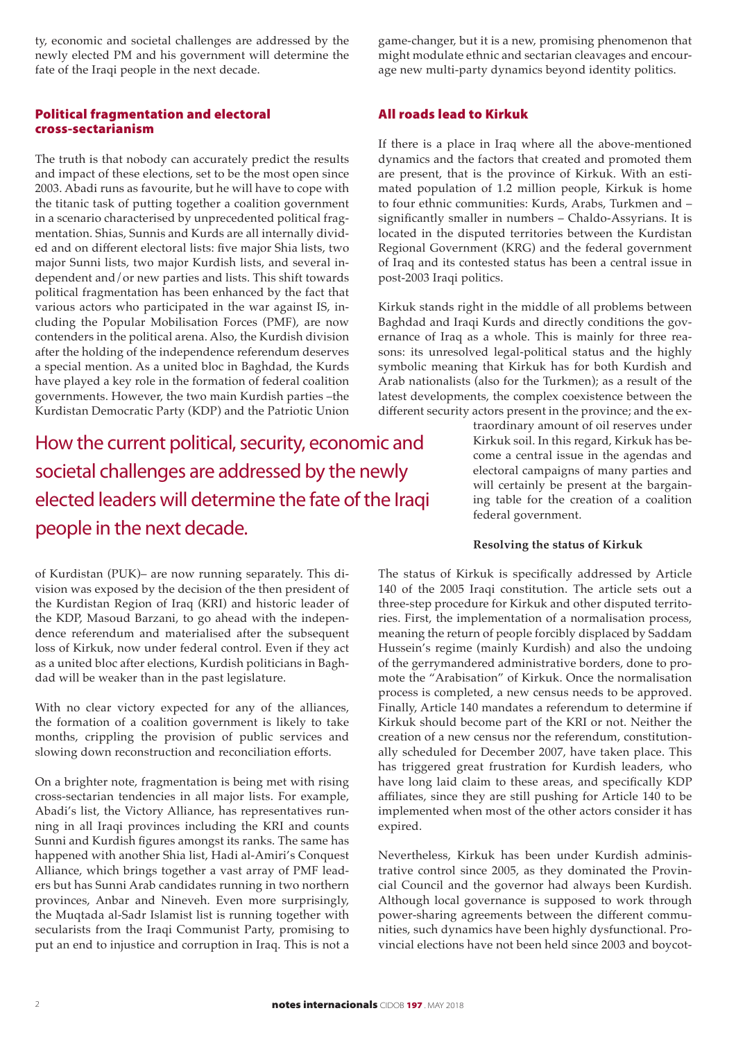ty, economic and societal challenges are addressed by the newly elected PM and his government will determine the fate of the Iraqi people in the next decade.

## Political fragmentation and electoral cross-sectarianism

The truth is that nobody can accurately predict the results and impact of these elections, set to be the most open since 2003. Abadi runs as favourite, but he will have to cope with the titanic task of putting together a coalition government in a scenario characterised by unprecedented political fragmentation. Shias, Sunnis and Kurds are all internally divided and on different electoral lists: five major Shia lists, two major Sunni lists, two major Kurdish lists, and several independent and/or new parties and lists. This shift towards political fragmentation has been enhanced by the fact that various actors who participated in the war against IS, including the Popular Mobilisation Forces (PMF), are now contenders in the political arena. Also, the Kurdish division after the holding of the independence referendum deserves a special mention. As a united bloc in Baghdad, the Kurds have played a key role in the formation of federal coalition governments. However, the two main Kurdish parties –the Kurdistan Democratic Party (KDP) and the Patriotic Union

How the current political, security, economic and societal challenges are addressed by the newly elected leaders will determine the fate of the Iraqi people in the next decade.

of Kurdistan (PUK)– are now running separately. This division was exposed by the decision of the then president of the Kurdistan Region of Iraq (KRI) and historic leader of the KDP, Masoud Barzani, to go ahead with the independence referendum and materialised after the subsequent loss of Kirkuk, now under federal control. Even if they act as a united bloc after elections, Kurdish politicians in Baghdad will be weaker than in the past legislature.

With no clear victory expected for any of the alliances, the formation of a coalition government is likely to take months, crippling the provision of public services and slowing down reconstruction and reconciliation efforts.

On a brighter note, fragmentation is being met with rising cross-sectarian tendencies in all major lists. For example, Abadi's list, the Victory Alliance, has representatives running in all Iraqi provinces including the KRI and counts Sunni and Kurdish figures amongst its ranks. The same has happened with another Shia list, Hadi al-Amiri's Conquest Alliance, which brings together a vast array of PMF leaders but has Sunni Arab candidates running in two northern provinces, Anbar and Nineveh. Even more surprisingly, the Muqtada al-Sadr Islamist list is running together with secularists from the Iraqi Communist Party, promising to put an end to injustice and corruption in Iraq. This is not a

game-changer, but it is a new, promising phenomenon that might modulate ethnic and sectarian cleavages and encourage new multi-party dynamics beyond identity politics.

## All roads lead to Kirkuk

If there is a place in Iraq where all the above-mentioned dynamics and the factors that created and promoted them are present, that is the province of Kirkuk. With an estimated population of 1.2 million people, Kirkuk is home to four ethnic communities: Kurds, Arabs, Turkmen and – significantly smaller in numbers – Chaldo-Assyrians. It is located in the disputed territories between the Kurdistan Regional Government (KRG) and the federal government of Iraq and its contested status has been a central issue in post-2003 Iraqi politics.

Kirkuk stands right in the middle of all problems between Baghdad and Iraqi Kurds and directly conditions the governance of Iraq as a whole. This is mainly for three reasons: its unresolved legal-political status and the highly symbolic meaning that Kirkuk has for both Kurdish and Arab nationalists (also for the Turkmen); as a result of the latest developments, the complex coexistence between the different security actors present in the province; and the ex-

> traordinary amount of oil reserves under Kirkuk soil. In this regard, Kirkuk has become a central issue in the agendas and electoral campaigns of many parties and will certainly be present at the bargaining table for the creation of a coalition federal government.

#### **Resolving the status of Kirkuk**

The status of Kirkuk is specifically addressed by Article 140 of the 2005 Iraqi constitution. The article sets out a three-step procedure for Kirkuk and other disputed territories. First, the implementation of a normalisation process, meaning the return of people forcibly displaced by Saddam Hussein's regime (mainly Kurdish) and also the undoing of the gerrymandered administrative borders, done to promote the "Arabisation" of Kirkuk. Once the normalisation process is completed, a new census needs to be approved. Finally, Article 140 mandates a referendum to determine if Kirkuk should become part of the KRI or not. Neither the creation of a new census nor the referendum, constitutionally scheduled for December 2007, have taken place. This has triggered great frustration for Kurdish leaders, who have long laid claim to these areas, and specifically KDP affiliates, since they are still pushing for Article 140 to be implemented when most of the other actors consider it has expired.

Nevertheless, Kirkuk has been under Kurdish administrative control since 2005, as they dominated the Provincial Council and the governor had always been Kurdish. Although local governance is supposed to work through power-sharing agreements between the different communities, such dynamics have been highly dysfunctional. Provincial elections have not been held since 2003 and boycot-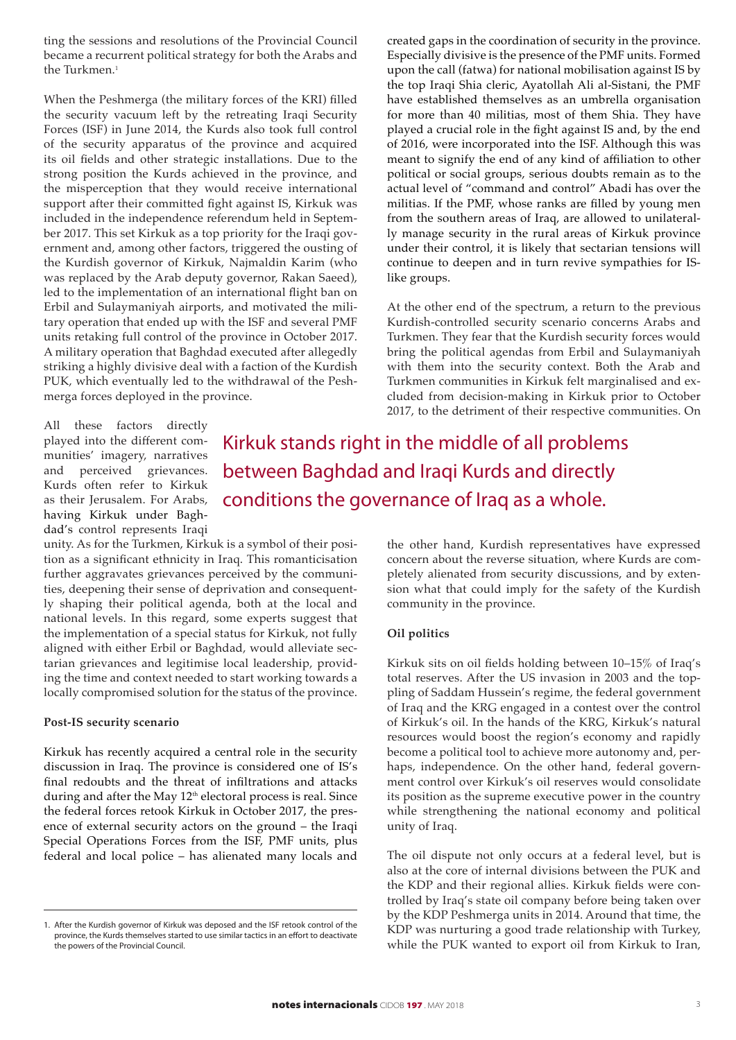ting the sessions and resolutions of the Provincial Council became a recurrent political strategy for both the Arabs and the Turkmen.<sup>1</sup>

When the Peshmerga (the military forces of the KRI) filled the security vacuum left by the retreating Iraqi Security Forces (ISF) in June 2014, the Kurds also took full control of the security apparatus of the province and acquired its oil fields and other strategic installations. Due to the strong position the Kurds achieved in the province, and the misperception that they would receive international support after their committed fight against IS, Kirkuk was included in the independence referendum held in September 2017. This set Kirkuk as a top priority for the Iraqi government and, among other factors, triggered the ousting of the Kurdish governor of Kirkuk, Najmaldin Karim (who was replaced by the Arab deputy governor, Rakan Saeed), led to the implementation of an international flight ban on Erbil and Sulaymaniyah airports, and motivated the military operation that ended up with the ISF and several PMF units retaking full control of the province in October 2017. A military operation that Baghdad executed after allegedly striking a highly divisive deal with a faction of the Kurdish PUK, which eventually led to the withdrawal of the Peshmerga forces deployed in the province.

All these factors directly played into the different communities' imagery, narratives and perceived grievances. Kurds often refer to Kirkuk as their Jerusalem. For Arabs, having Kirkuk under Baghdad's control represents Iraqi

Kirkuk stands right in the middle of all problems between Baghdad and Iraqi Kurds and directly conditions the governance of Iraq as a whole.

like groups.

unity. As for the Turkmen, Kirkuk is a symbol of their position as a significant ethnicity in Iraq. This romanticisation further aggravates grievances perceived by the communities, deepening their sense of deprivation and consequently shaping their political agenda, both at the local and national levels. In this regard, some experts suggest that the implementation of a special status for Kirkuk, not fully aligned with either Erbil or Baghdad, would alleviate sectarian grievances and legitimise local leadership, providing the time and context needed to start working towards a locally compromised solution for the status of the province.

#### **Post-IS security scenario**

Kirkuk has recently acquired a central role in the security discussion in Iraq. The province is considered one of IS's final redoubts and the threat of infiltrations and attacks during and after the May  $12<sup>th</sup>$  electoral process is real. Since the federal forces retook Kirkuk in October 2017, the presence of external security actors on the ground – the Iraqi Special Operations Forces from the ISF, PMF units, plus federal and local police – has alienated many locals and

the other hand, Kurdish representatives have expressed concern about the reverse situation, where Kurds are completely alienated from security discussions, and by extension what that could imply for the safety of the Kurdish community in the province.

created gaps in the coordination of security in the province. Especially divisive is the presence of the PMF units. Formed upon the call (fatwa) for national mobilisation against IS by the top Iraqi Shia cleric, Ayatollah Ali al-Sistani, the PMF have established themselves as an umbrella organisation for more than 40 militias, most of them Shia. They have played a crucial role in the fight against IS and, by the end of 2016, were incorporated into the ISF. Although this was meant to signify the end of any kind of affiliation to other political or social groups, serious doubts remain as to the actual level of "command and control" Abadi has over the militias. If the PMF, whose ranks are filled by young men from the southern areas of Iraq, are allowed to unilaterally manage security in the rural areas of Kirkuk province under their control, it is likely that sectarian tensions will continue to deepen and in turn revive sympathies for IS-

At the other end of the spectrum, a return to the previous Kurdish-controlled security scenario concerns Arabs and Turkmen. They fear that the Kurdish security forces would bring the political agendas from Erbil and Sulaymaniyah with them into the security context. Both the Arab and Turkmen communities in Kirkuk felt marginalised and excluded from decision-making in Kirkuk prior to October 2017, to the detriment of their respective communities. On

#### **Oil politics**

Kirkuk sits on oil fields holding between 10–15% of Iraq's total reserves. After the US invasion in 2003 and the toppling of Saddam Hussein's regime, the federal government of Iraq and the KRG engaged in a contest over the control of Kirkuk's oil. In the hands of the KRG, Kirkuk's natural resources would boost the region's economy and rapidly become a political tool to achieve more autonomy and, perhaps, independence. On the other hand, federal government control over Kirkuk's oil reserves would consolidate its position as the supreme executive power in the country while strengthening the national economy and political unity of Iraq.

The oil dispute not only occurs at a federal level, but is also at the core of internal divisions between the PUK and the KDP and their regional allies. Kirkuk fields were controlled by Iraq's state oil company before being taken over by the KDP Peshmerga units in 2014. Around that time, the KDP was nurturing a good trade relationship with Turkey, while the PUK wanted to export oil from Kirkuk to Iran,

<sup>1.</sup> After the Kurdish governor of Kirkuk was deposed and the ISF retook control of the province, the Kurds themselves started to use similar tactics in an effort to deactivate the powers of the Provincial Council.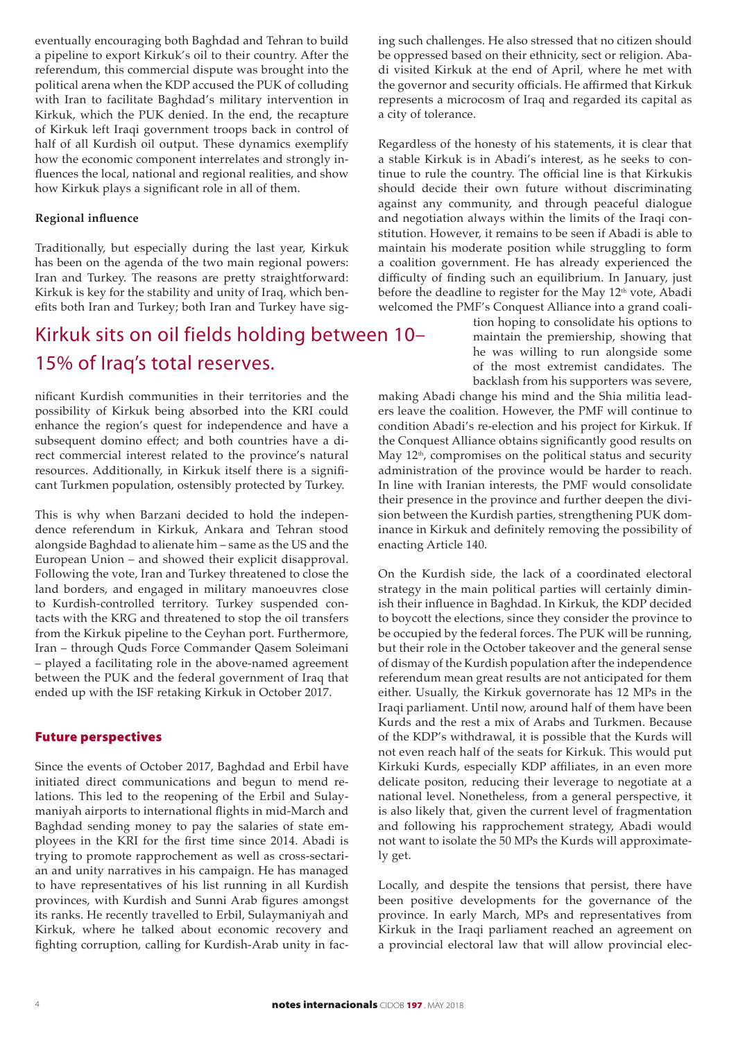eventually encouraging both Baghdad and Tehran to build a pipeline to export Kirkuk's oil to their country. After the referendum, this commercial dispute was brought into the political arena when the KDP accused the PUK of colluding with Iran to facilitate Baghdad's military intervention in Kirkuk, which the PUK denied. In the end, the recapture of Kirkuk left Iraqi government troops back in control of half of all Kurdish oil output. These dynamics exemplify how the economic component interrelates and strongly influences the local, national and regional realities, and show how Kirkuk plays a significant role in all of them.

### **Regional influence**

Traditionally, but especially during the last year, Kirkuk has been on the agenda of the two main regional powers: Iran and Turkey. The reasons are pretty straightforward: Kirkuk is key for the stability and unity of Iraq, which benefits both Iran and Turkey; both Iran and Turkey have sig-

# Kirkuk sits on oil fields holding between 10– 15% of Iraq's total reserves.

nificant Kurdish communities in their territories and the possibility of Kirkuk being absorbed into the KRI could enhance the region's quest for independence and have a subsequent domino effect; and both countries have a direct commercial interest related to the province's natural resources. Additionally, in Kirkuk itself there is a significant Turkmen population, ostensibly protected by Turkey.

This is why when Barzani decided to hold the independence referendum in Kirkuk, Ankara and Tehran stood alongside Baghdad to alienate him – same as the US and the European Union – and showed their explicit disapproval. Following the vote, Iran and Turkey threatened to close the land borders, and engaged in military manoeuvres close to Kurdish-controlled territory. Turkey suspended contacts with the KRG and threatened to stop the oil transfers from the Kirkuk pipeline to the Ceyhan port. Furthermore, Iran – through Quds Force Commander Qasem Soleimani – played a facilitating role in the above-named agreement between the PUK and the federal government of Iraq that ended up with the ISF retaking Kirkuk in October 2017.

#### Future perspectives

Since the events of October 2017, Baghdad and Erbil have initiated direct communications and begun to mend relations. This led to the reopening of the Erbil and Sulaymaniyah airports to international flights in mid-March and Baghdad sending money to pay the salaries of state employees in the KRI for the first time since 2014. Abadi is trying to promote rapprochement as well as cross-sectarian and unity narratives in his campaign. He has managed to have representatives of his list running in all Kurdish provinces, with Kurdish and Sunni Arab figures amongst its ranks. He recently travelled to Erbil, Sulaymaniyah and Kirkuk, where he talked about economic recovery and fighting corruption, calling for Kurdish-Arab unity in facing such challenges. He also stressed that no citizen should be oppressed based on their ethnicity, sect or religion. Abadi visited Kirkuk at the end of April, where he met with the governor and security officials. He affirmed that Kirkuk represents a microcosm of Iraq and regarded its capital as a city of tolerance.

Regardless of the honesty of his statements, it is clear that a stable Kirkuk is in Abadi's interest, as he seeks to continue to rule the country. The official line is that Kirkukis should decide their own future without discriminating against any community, and through peaceful dialogue and negotiation always within the limits of the Iraqi constitution. However, it remains to be seen if Abadi is able to maintain his moderate position while struggling to form a coalition government. He has already experienced the difficulty of finding such an equilibrium. In January, just before the deadline to register for the May 12<sup>th</sup> vote, Abadi welcomed the PMF's Conquest Alliance into a grand coali-

> tion hoping to consolidate his options to maintain the premiership, showing that he was willing to run alongside some of the most extremist candidates. The backlash from his supporters was severe,

making Abadi change his mind and the Shia militia leaders leave the coalition. However, the PMF will continue to condition Abadi's re-election and his project for Kirkuk. If the Conquest Alliance obtains significantly good results on May 12<sup>th</sup>, compromises on the political status and security administration of the province would be harder to reach. In line with Iranian interests, the PMF would consolidate their presence in the province and further deepen the division between the Kurdish parties, strengthening PUK dominance in Kirkuk and definitely removing the possibility of enacting Article 140.

On the Kurdish side, the lack of a coordinated electoral strategy in the main political parties will certainly diminish their influence in Baghdad. In Kirkuk, the KDP decided to boycott the elections, since they consider the province to be occupied by the federal forces. The PUK will be running, but their role in the October takeover and the general sense of dismay of the Kurdish population after the independence referendum mean great results are not anticipated for them either. Usually, the Kirkuk governorate has 12 MPs in the Iraqi parliament. Until now, around half of them have been Kurds and the rest a mix of Arabs and Turkmen. Because of the KDP's withdrawal, it is possible that the Kurds will not even reach half of the seats for Kirkuk. This would put Kirkuki Kurds, especially KDP affiliates, in an even more delicate positon, reducing their leverage to negotiate at a national level. Nonetheless, from a general perspective, it is also likely that, given the current level of fragmentation and following his rapprochement strategy, Abadi would not want to isolate the 50 MPs the Kurds will approximately get.

Locally, and despite the tensions that persist, there have been positive developments for the governance of the province. In early March, MPs and representatives from Kirkuk in the Iraqi parliament reached an agreement on a provincial electoral law that will allow provincial elec-